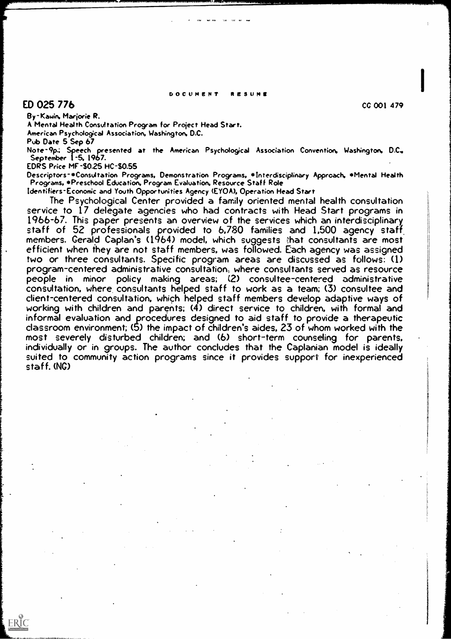#### DOCUMENT RESUME

## $ED$  025 776 cc 001 479

ERIC

By-Kawin. Marjorie R.

A Mental Health Consultation Program for Project Head Start.

American Psychological Association, Washington. D.C.

Pub Date 5 Sep 67

Note-9p.; Speech presented at the American Psychological Association Convention, Washington, D.C.. September 1-5, 1967.

EDRS Price MF-\$0.25 HC-S0.55

Descriptors-\*Consultation Programs, Demonstration Programs, \*Interdsciplinary Approach. \*Mental Health Programs. \*Preschool Education, Program Evaluation, Resource Staff Role

Identifiers-Economic and Youth Opportunities Agency (EY0A), Operation Head Start

The Psychological Center provided a family oriented mental health consultation service to 17 delegate agencies who had contracts with Head Start programs in<br>1966-67. This paper presents an overview of the services which an interdisciplinary staff of 52 professionals provided to 6,780 families and 1,500 agency staff efficient when they are not staff members, was followed. Each agency was assigned two or three consultants. Specific program areas are discussed as follows: (1) program-centered administrative consultation, where consultants served as resource people in minor policy making areas; (2) consultee-centered administrative consultation, where, consultants helped staff to work as a team; (3) consultee and working with children and parents; (4) direct service to children, with formal and informal evaluation and procedures designed to aid staff to provide a therapeutic classroom environment; (5) the impact of children's aides, 23 of whom worked with the most severely disturbed children; and (6) short-term counseling for parents, individually or in groups. The author concludes that the Ca suited to community action programs since it provides support for inexperienced staff. (NG)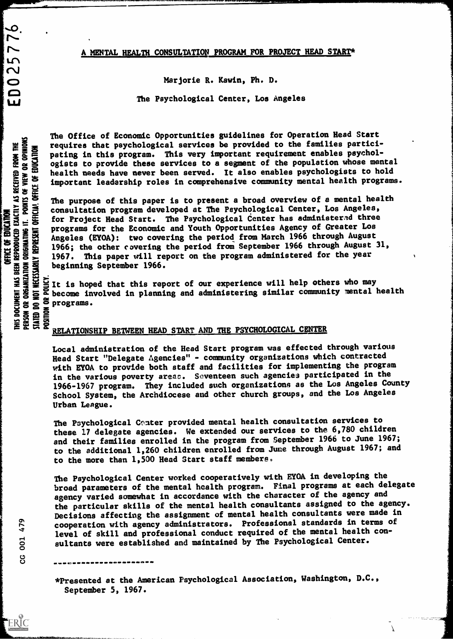### A MENTAL HEALTH CONSULTATION PROGRAM FOR PROJECT HEAD START\*

 $-$ 

Marjorie R. Kevin, Ph. D.

The Psychological Center, Los Angeles

 $\blacktriangleright$  $\overline{\phantom{1}}$  $\mathbf{u}$  $\overline{\mathsf{C}}$  $\bullet$  $\blacksquare$ ய

**SO** 

※ 농 분

<del>\*</del> ≨ ≤ ≋ g2

a early

The Office of Economic Opportunities guidelines for Operation Head Start requires that psychological services be provided to the families partici-<br>pating in this program. This very important requirement enables psychol-<br>ogists to provide these services to a segment of the population whose men<br>h pating in this program. This very important requirement enables psychologists to provide these services to a segment of the population whose mental  $\Xi \geq \Xi$  health needs have never been served. It also enables psychologists to hold  $\Xi \geq \Xi$ important leadership roles in comprehensive community mental health programs.

229 The  $\sum_{i=1}^{\infty} \sum_{i=1}^{\infty} \sum_{j=1}^{\infty} \sum_{j=1}^{\infty} \sum_{j=1}^{\infty} \sum_{j=1}^{\infty} \sum_{j=1}^{\infty} \sum_{j=1}^{\infty} \sum_{j=1}^{\infty} \sum_{j=1}^{\infty} \sum_{j=1}^{\infty} \sum_{j=1}^{\infty} \sum_{j=1}^{\infty} \sum_{j=1}^{\infty} \sum_{j=1}^{\infty} \sum_{j=1}^{\infty} \sum_{j=1}^{\infty} \sum_{j=1}^{\infty} \sum_{j$  $\Xi \equiv \Xi$  Angeles (EYOA): two covering the period from March 1966 through August<br> $\Xi \equiv \Xi$  . 1966: the other envering the period from Sentember 1966 through August 31.  $53 \overline{5}$  and  $\overline{5}$  beginning ed a beginning September 1966.<br>E S programs for the Economic and Youth Opportunities Agency of Greater Los<br>Angeles (EYOA): two covering the period from March 1966 through August<br>1966; the other covering the period from September 1966 through August<br>1967. T The purpose of this paper is to present a broad overview of a mental health consultation program developed at The Psychological Center, Los Angeles, for Project Head Start. The Psychological Center has administerad three programs for the Economic and Youth Opportunities Agency of Greater Los 1966; the other covering the period from September 1966 through August 31, 1967. This paper will report on the program administered for the year

 $\overline{a}$  become involved in planning and administering similar community mental health  $\overline{a}$  programs.  $\Xi \cong \Xi \cong \text{error}$ ia so programs.<br>Example :<br>Example : prove

# $\Xi \stackrel{\sim}{\approx} \Xi \stackrel{\sim}{\approx} \frac{RELATIONSHIP BETWERN HEAD START AND THE PSYCHOLOGICAL CENTER}$

Local administration of the Head Start program was effected through various Head Start "Delegate Agencies" - community organizations which contracted with EYOA to provide both staff and facilities for implementing the program in the various poverty areac. Seventeen such agencies participated in the 1966-1967 program. They included such organizations as the Los Angeles County School System, the Archdiocese and other church groups, and the Los Angeles Urban League.

The Psychological Center provided mental health consultation services to these 17 delegate agencies. We extended our services to the 6,780 children and their families enrolled in the program from September 1966 to June 1967; to the additional 1,260 children enrolled from June through August 1967; and to the more than 1,500 Head Start staff members.

The Psychological Center worked cooperatively with EYOA in developing the broad parameters of the mental health program. Final programs at each delegate agency varied somewhat in accordance with the character of the agency and the particular skills of the mental health consultants assigned to the agency. Decisions affecting the assignment of mental health consultants were made in cooperation with agency administrators. Professional standards in terms of level of skill and professional conduct required of the mental health consultants were established and maintained by The Psychological Center.

\*Presented at the American Psychological Association, Washington, D.C., September 5, 1967.

 $\sigma$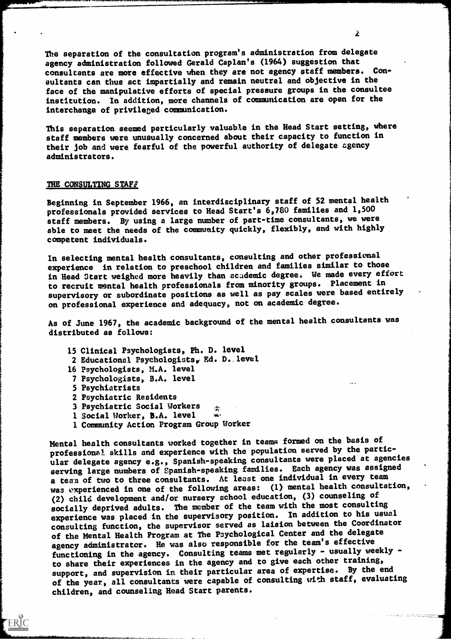The separation of the consultation program's administration from delegate agency administration followed Gerald Caplan's (1964) suggestion that consultants are more effective when they are not agency staff members. Consultants can thus act impartially and remain neutral and objective in the face of the manipulative efforts of special pressure groups in the consultee institution. In addition, more channels of communication are open for the interchange of privileged communication.

This separation seemed particularly valuable in the Head Start setting, where staff members were unusually concerned about their capacity to function in their job and were fearful of the powerful authority of delegate agency administrators.

#### THE CONSULTING STAFF

Beginning in September 1966, an interdisciplinary staff of 52 mental health professionals provided services to Head Start's 6,780 families and 1,500 staff members. By using a large number of part-time consultants, we were able to meet the needs of the community quickly, flexibly, and with highly competent individuals.

In selecting mental health consultants, consulting and other professional experience in relation to preschool children and families similar to those in Head Start weighed more heavily than acudemic degree. We made every effort to recruit mental health professionals from minority groups. Placement in supervisory or subordinate positions as well as pay scales were based entirely on professional experience and adequacy, not on academic degree.

As of June 1967, the academic background of the mental health consultants was distributed as follows:

- 15 Clinical Psychologists, Ph. D. level
- 2 Educational Psychologists, Ed. D..level
- 16 Psychologists, M.A. level
- 7 Psychologists, B.A. level
- 5 Psychiatrists

**ERIC** 

- 2 Psychiatric Residents
- 3 Psychiatric Social Workers  $\gamma$
- 1 Social Worker, **B.A.** level we
- 1 Community Action Program Group Worker

Mental health consultants worked together in teams formed on the basis of professional skills and experience with the population served by the particular delegate agency e.g., Spanish-speaking consultants were placed at agencies serving large numbers of Spanish-speaking families. Each agency was assigned a team of two to three consultants. At least one individual in every team was experienced in one of the following areas: (1) mental health consultation, (2) child development and/or nursery school education, (3) counseling of socially deprived adults. The member of the team with the most consulting experience was placed in the supervisory position. In addition to his usual consulting function, the supervisor served as laision between the Coordinator of the Mental Health Program at The Psychological Center and the delegate agency administrator. He was also responsible for the team's effective functioning in the agency. Consulting teams met regularly - usually weekly to share their experiences in the agency and to give each other training, support, and supervision in their particular area of expertise. By the end of the year, all consultants were capable of consulting with staff, evaluating children, and counseling Head Start parents.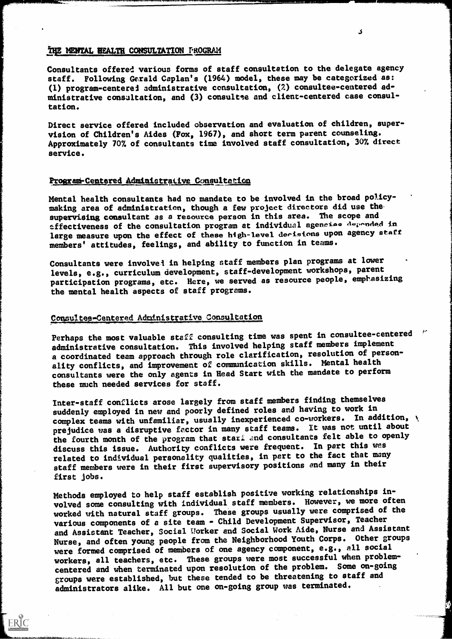### THE MENTAL HEALTH CONSULTATION FROGRAM

Consultants offered various forms of staff consultation to the delegate agency staff. Following Gerald Caplan's (1964) model, these may be categorized as: (1) program-centerei administrative consultation, (2) consultee-centered administrative consultation, and (3) consultee and client-centered case consultation.

Direct service offered included observation and evaluation of children, supervision of Children's Aides (Fox, 1967), and short term parent counseling. Approximately 707. of consultants time involved staff consultation, 307. direct service.

### Program-Centered Administrative Consultation

Mental health consultants had no mandate to be involved in the broad policymaking area of administration, though a few project directors did use the supervising consultant as a resource person in this area. The scope and effectiveness of the consultation program at individual agencies depended in large measure upon the effect of these high-level derisions upon agency staff members' attitudes, feelings, and ability to function in teams.

Consultants were involvei in helping staff members plan programs at lower levels, e.g., curriculum development, staff-development workshops, parent participation programs, etc. Here, we served as resource people, emphasizing the mental health aspects of staff programs.

### Consultee-Centered Administrative Consultation

**ERIC** 

Perhaps the most valuable staff consulting time was spent in consultee-centered \* administrative consultation. This involved helping staff members implement a coordinated team approach through role clarification, resolution of personality conflicts, and improvement of communication skills. Mental health consultants were the only agents in Head Start with the mandate to perform these much needed services for staff.

Inter-staff conflicts arose largely from staff members finding themselves suddenly employed in new and poorly defined roles and having to work in complex teams with unfamiliar, usually inexperienced co-workers. In addition, \ prejudice was a disruptive fector in many staff teams. It was not until about the fourth month of the program that stari and consultants felt able to openly discuss this issue. Authority conflicts were frequent. In part this was related to individual personality qualities, in pert to the fact that many staff members were in their first supervisory positions and many in their first jobs.

Methods employed to help staff establish positive working relationships involved some consulting with individual staff members. However, we more often worked with natural staff groups. These groups usually were comprised of the various components of a site team - Child Development Supervisor, Teacher and Assistant Teacher, Social Uorker and Social Work Aide, Nurse and Assistant Nurse, and often young people from the Neighborhood Youth Corps. Other groups were formed comprised of members of one agency component, e.g., all social workers, all teachers, etc. These groups were most successful when problemcentered and when terminated upon resolution of the problem. Some on-going groups were established, but these tended to be threatening to staff and administrators alike. All but one on-going group was terminated.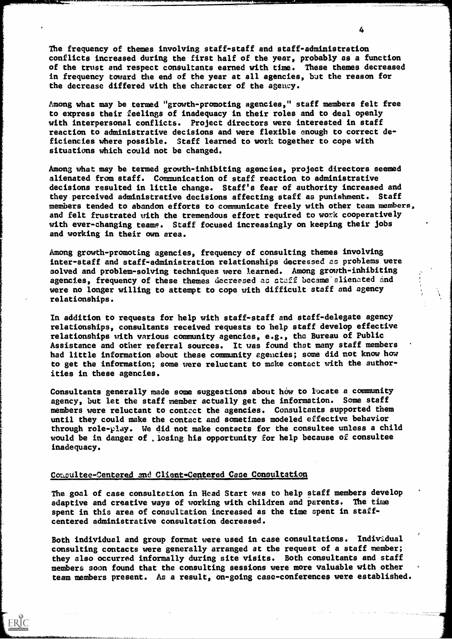The frequency of themes involving staff-staff and staff-administration conflicts increased during the first half of the year, probably as a function of the trust and respect consultants earned with time. These themes decreased in frequency toward the end of the year at all agencies, but the reason for the decrease differed with the character of the agency.

Among what may be termed "growth-promoting agencies," staff members felt free to express their feelings of inadequacy in their roles and to deal openly with interpersonal conflicts. Project directors were interested in staff reaction to administrative decisions and were flexible enough to correct deficiencies where possible. Staff learned to work together to cope with situations which could not be changed.

Among what may be termed growth-inhibiting agencies, project directors seemed alienated from staff. Communication of staff reaction to administrative decisions resulted in little change. Staff's fear of authority increased and they perceived administrative decisions affecting staff as punishment. Staff members tended to abandon efforts to communicate freely with other team members, and felt frustrated with the tremendous effort required to work cooperatively with ever-changing teams. Staff focused increasingly on keeping their jobs and working in their own area.

Among growth-promoting agencies, frequency of consulting themes involving inter-staff and staff-administration relationships decreased as problems were aolved and problem-solving techniques were learned. Among growth-inhibiting agencies, frequency of these themes decreased ac staff became alienated and were no longer willing to attempt to cope with difficult staff and agency relationships.

In addition to requests for help with staff-staff and staff-delegate agency relationships, consultants received requests to help staff develop effective relationships with various community agencies, e.g., the Bureau of Public Assistance and other referral sources. It was found that many staff members had little information about these community agencies; some did not know how to get the information; some were reluctant to make contact with the authorities in these agencies.

Consultants generally made some suggestions about how to locate a community agency, but let the staff member actually get the information. Sone staff members were reluctant to contact the agencies. Consultants supported them until they could make the contact and sometimes nodeled effective behavior through role-play. We did not make contacts for the consultee unless a child would be in danger of . losing his opportunity for help because of consultee inadequacy.

### Consultee-Centered and Client-Centered Case Consultation

 $\mathcal{L}^{\text{max}}_{\text{max}}$  and  $\mathcal{L}^{\text{max}}_{\text{max}}$ 

ERIC

The goal of case consultation in Head Start was to help staff members develop adaptive and creative ways of working with children and parents. The time spent in this area of consultation increased as the time spent in staffcentered administrative consultation decreased.

Both individual and group format were used in case consultations. Individual consulting contacts were generally arranged at the request of a staff member; they also occurred informally during site visits. Both consultants and staff members soon found that the consulting sessions were more valuable with other team members present. As a result, on-going case-conferences were established.

 $\boldsymbol{\tau}$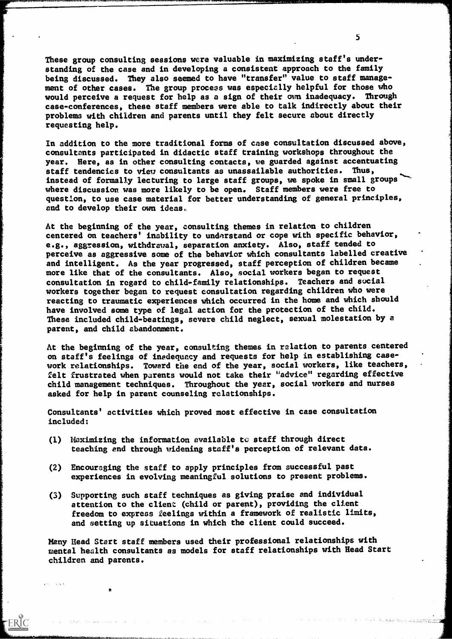These group consulting sessions were valuable in maximizing staff's understanding of the case and in developing a consistent approach to the family being discussed. They also seemed to have "transfer" value to staff management of other cases. The group process was especially helpful for those who would perceive a request for help as a sign of their own inadequacy. Through case-conferences, these staff members were able to talk indirectly about their problems with children and parents until they felt secure about directly requesting help.

In addition to the more traditional forms of case consultation discussed above, consultants participated in didactic staff training workshops throughout the year. Here, as in other consulting contacts, we guarded against accentuating staff tendencies to view consultants as unassailable authorities. Thus, instead of formally lecturing to large staff groups, we spoke in small groups where discussion was more likely to be open. Staff members were free to question, to use case material for better understanding of general principles, and to develop their own ideas.

At the beginning of the year, consulting themes in relation to children centered on teachers' inability to understand or cope with specific behavior, e.g., aggression, withdrawal, separation anxiety. Also, staff tended to perceive as aggressive some of the behavior which consultants labelled creative and intelligent. As the year progressed, staff perception of children became more like that of the consultants. Also, social workers began to request consultation in regard to child-family relationships. Teachers and sucial workers together began to request consultation regarding children who were reacting to traumatic experiences which occurred in the home and which should have involved some type of legal action for the protection of the child. These included child-beatings, severe child neglect, sexual molestation by a parent, and child abandonment.

At the beginning of the year, consulting themes in relation to parents centered on staff's feelings of inadequacy and requests for help in establishing casework relationships. Toward the end of the year, social workers, like teachers, felt frustrated when parents would not take their "advice" regarding effective child management techniques. Throughout the year, social workers and nurses asked for help in parent counseling relationships.

Consultants' activities which proved most effective in case consultation included:

- (1) Maximizing the information available to staff through direct teaching end through widening staff's perception of relevant data.
- (2) Encouraging the staff to apply principles from successful past experiences in evolving meaningful solutions to present problems.
- (3) Supporting such staff techniques as giving praise and individual attention to the client (child or parent), providing the client freedom to express feelings within a framework of realistic limits, and setting up situations in which the client could succeed.

Many Head Start staff members used their professional relationships with mental health consultants as models for staff relationships with Head Start children and parents.

 $\sim 10^{11}$  km  $^{-1}$ 

5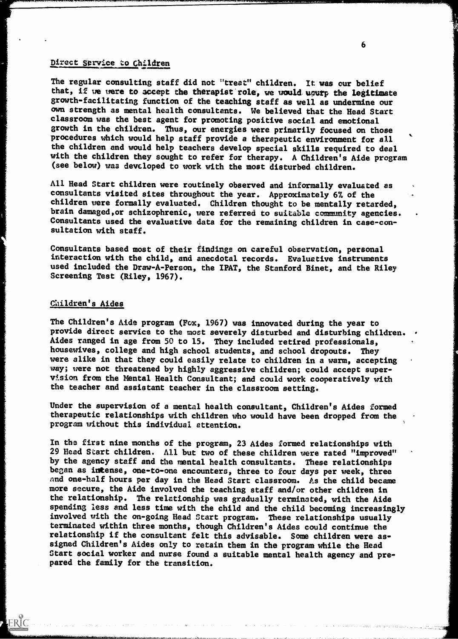### Direct service to Children

The regular consulting staff did not "treat" children. It was our belief that, if we were to accept the therapist role, we would ugurp the legitimate growth-facilitating function of the teaching staff as well as undermine our own strength as mental health consultants. We believed that the Head Start classroom was the best agent for promoting positive social and emotional growth in the children. Thus, our energies were primarily focused on those procedures which would help staff provide a eherapeutic environment for all the children and would help teachers develop special skills required to deal with the children they sought to refer for therapy. A Children's Aide program (see below) waa devcloped to work with the most disturbed children.

All Head Start children were routinely observed and informally evaluated as consultants visited sites throughout the year. Approximately 67 of the children vere formally evaluated. Children thought to be mentally retarded, brain damaged,or schizophrenic, were referred to suitable community agencies. Consultants used the evaluative data for the remaining children in case-consultation with staff.

Consultants based most of their findings on careful observation, personal interaction with the child, and anecdotal records. Evaluative instruments used included the Draw-A-Person, the IPAT, the Stanford Binet, and the Riley Screening Test (Riley, 1967).

### Children's Aides

ERIC

The Children's Aide program (Fox, 1967) was innovated during the year to provide direct service to the most severely disturbed and disturbing children. Aides ranged in age from 50 to 15. They included retired professionals, housewives, college and high school students, and school dropouts. They were alike in that they could easily relate to children in a warm, accepting way; were not threatened by highly aggressive children; could accept supervision from the Mental Health Consultant; and could work cooperatively with the teacher and assistant teacher in the classroom setting.

Under the supervision of a mental health consultant, Children's Aides formed therapeutic relationships with children who would have been dropped from the program without this individual attention.

In the first nine months of the program, 23 Aides formed relationships with 29 Head Start children. All but two of these children were rated "improved" by the agency staff and the mental health consultants. These relationships began as intense, one-to-one encounters, three to four days per week, three and one-half hours per day in the Head Start classroom. As the child became more secure, the Aide involved the teaching staff and/or other children in the relationship. The relationship was gradually terminated, with the Aide spending less and less time with the child and the child becoming increasingly involved with the on-going Head Start program. These relationships usually terminated within three months, though Children's Aides could continue the relationship if the consultant felt this advisable. Some children were assigned Children's Aides only to retain them in the program while the Head Start social worker and nurse found a suitable mental health agency and prepared the family for the transition.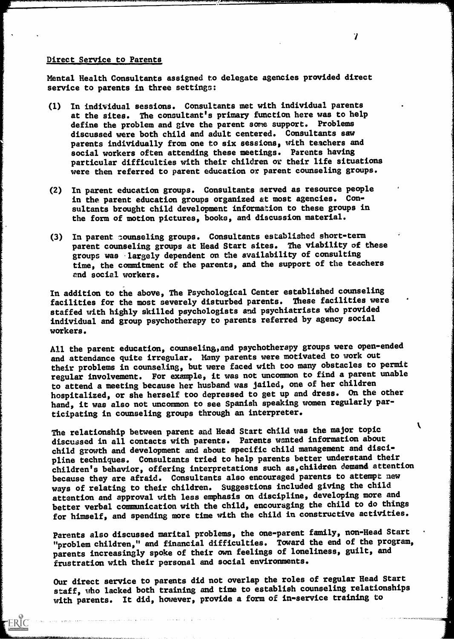### Direct Service to Parents

Mental Health Consultants assigned to delegate agencies provided direct service to parents in three settings:

- (1) In individual sessions. Consultants met with individual parents at the sites. The consultant's primary function here was to help define the problem and give the parent some support. Problems discussed were both child and adult centered. Consultants saw parents individually from one to six sessions, with teachers and social workers often attending these meetings. Parents having particular difficulties with their children or their life situations were then referred to parent education or parent counseling groups.
- (2) In parent education groups. Consultants served as resource people in the parent education groups organized at most agencies. Consultants brought child development information to these groups in the form of motion pictures, books, and discussion material.
- (3) In parent counseling groups. Consultants established short-term parent counseling groups at Head Start sites. The viability of these groups was largely dependent on the availability of consulting time, the commitment of the parents, and the support of the teachers end social workers.

In addition to the above, The Psychological Center established counseling facilities for the most severely disturbed parents. These facilities were staffed with highly skilled psychologists and psychiatrists who provided individual and group psychotherapy to parents referred by agency social workers.

All the parent education, counseling, and psychotherapy groups were open-ended and attendance quite irregular. Many parents were motivated to work out their problems in counseling, but were faced with too many obstacles to permit regular involvement. For example, it was not uncommon to find a parent unable to attend a meeting because her husband was jailed, one of her children hospitalized, or she herself too depressed to get up and dress. On the other hand, it was also not uncommon to see Spanish speaking women regularly participating in counseling groups through an interpreter.

The relationship between parent and Head Start child was the major topic discussed in all contacts with parents. Parents wanted information about child growth and development and about specific child management and discipline techniques. Consultants tried to help parents better understand their children's behavior, offering interpretations such as,children demand attention because they are afraid. Consultants also encouraged parents to attempt new ways of relating to their children. Suggestions included giving the child attention and approval with less emphasis on discipline, developing more and better verbal communication with the child, encouraging the child to do things for himself, and spending more time with the child in constructive activities.

Parents also discussed marital problems, the one-parent family, non-Head Start "problem children," and financial difficulties. Toward the end of the program, parents increasingly spoke of their own feelings of loneliness, guilt, and frustration with their personal and social environments.

Our direct service to parents did not overlap the roles of regular Head Start staff, who lacked both training and tine to establish counseling relationships with parents. It did, however, provide a form of in-service training to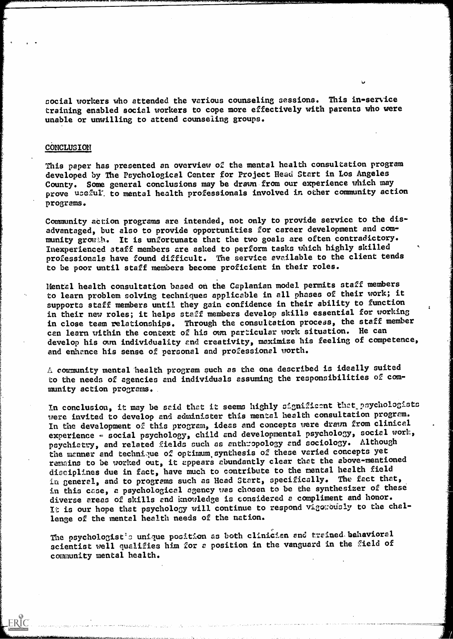social workers who attended the various counseling sessions. This in-service training enabled social workers to cope more effectively with parents who were unable or unwilling to attend counseling groups.

#### CoNCLUSION

This paper has presented an overview of the mental health consultation program developed by The Psychological Center for Project Head Start in Los Angeles County. Some general conclusions may be drawn from our experience which may prove uceful. to mental health professionals involved in other community action programs.

Community action programs are intended, not only to provide service to the disadvantaged, but also to provide opportunities for career development and community growh. It is unfortunate that the two goals are often contradictory. Inexperienced staff members are asked to perform tasks which highly skilled professionals have found difficult. The service available to the client tends to be poor until staff members become proficient in their roles.

Mental health consultation based on the Caplanian model permits staff members to learn problem solving techniques applicable in all phases of their work; it supports staff members until they gain confidence in their ability to function in their new roles; it helps staff members develop skills essential for working in close team relationships. Through the consultation process, the staff member can learn within the context of his own particular work situation. He can develop his own individuality and creativity, maximize his feeling of competence, and enhance his sense of personal and professional worth.

A community mental 'health program puch as the one described is ideally suited to the needs of agencies and individuals assuming the responsibilities of community action programs.

In conclusion, it may be said that it seems highly significant that psychologists were invited to develop and administer this mental health consultation program. In the development of this program, ideas and concepts uere drawn from clinical experience - social psychology, child and developmental psychology, social work, psychiatry, and related fields such as anthropology and sociology. Although the manner and technique of optimum synthesis of these varied concepts yet remains to be worked out, it appears abundantly clear that the above-mentioned disciplines due in fact, have much to contribute to the mental health field in general, and to programs such as Head Start, specifically. The feet that, in this case, a psychological agency vas chosen to be the synthesizer of these diverse areas of skills end knowledge is considered a compliment and honor. It is our hope that psychology will continue to respond vigonously to the challenge of the mental health needs of the nation.

The psychologist's unique position as both clinician and trained behavioral scientist well qualifies him for a position in the vanguard in the field of community mental health.